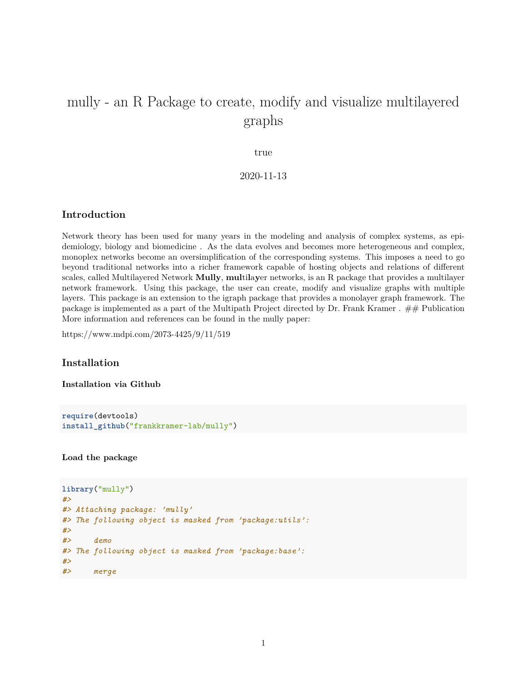# mully - an R Package to create, modify and visualize multilayered graphs

true

2020-11-13

# **Introduction**

Network theory has been used for many years in the modeling and analysis of complex systems, as epidemiology, biology and biomedicine . As the data evolves and becomes more heterogeneous and complex, monoplex networks become an oversimplification of the corresponding systems. This imposes a need to go beyond traditional networks into a richer framework capable of hosting objects and relations of different scales, called Multilayered Network **Mully**, **mul**ti**l**a**y**er networks, is an R package that provides a multilayer network framework. Using this package, the user can create, modify and visualize graphs with multiple layers. This package is an extension to the [igraph package](https://github.com/igraph/rigraph) that provides a monolayer graph framework. The package is implemented as a part of [the Multipath Project](https://www.sys-med.de/en/junior-research-groups/multipath/) directed by [Dr. Frank Kramer](https://www.uni-augsburg.de/de/fakultaet/fai/informatik/prof/misit/mitarbeiter/) . ## Publication More information and references can be found in the mully paper:

<https://www.mdpi.com/2073-4425/9/11/519>

# **Installation**

**Installation via Github**

```
require(devtools)
install_github("frankkramer-lab/mully")
```
**Load the package**

```
library("mully")
#>
#> Attaching package: 'mully'
#> The following object is masked from 'package:utils':
#>
#> demo
#> The following object is masked from 'package:base':
#>
#> merge
```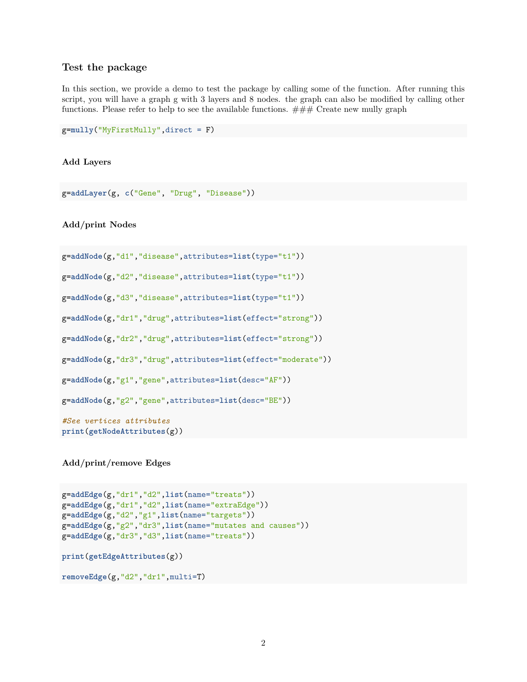# **Test the package**

In this section, we provide a demo to test the package by calling some of the function. After running this script, you will have a graph g with 3 layers and 8 nodes. the graph can also be modified by calling other functions. Please refer to help to see the available functions.  $\# \# \#$  Create new mully graph

```
g=mully("MyFirstMully",direct = F)
```
#### **Add Layers**

```
g=addLayer(g, c("Gene", "Drug", "Disease"))
```
**Add/print Nodes**

```
g=addNode(g,"d1","disease",attributes=list(type="t1"))
```

```
g=addNode(g,"d2","disease",attributes=list(type="t1"))
```
g=**addNode**(g,"d3","disease",attributes=**list**(type="t1"))

g=**addNode**(g,"dr1","drug",attributes=**list**(effect="strong"))

```
g=addNode(g,"dr2","drug",attributes=list(effect="strong"))
```
g=**addNode**(g,"dr3","drug",attributes=**list**(effect="moderate"))

```
g=addNode(g,"g1","gene",attributes=list(desc="AF"))
```
g=**addNode**(g,"g2","gene",attributes=**list**(desc="BE"))

*#See vertices attributes* **print**(**getNodeAttributes**(g))

**Add/print/remove Edges**

```
g=addEdge(g,"dr1","d2",list(name="treats"))
g=addEdge(g,"dr1","d2",list(name="extraEdge"))
g=addEdge(g,"d2","g1",list(name="targets"))
g=addEdge(g,"g2","dr3",list(name="mutates and causes"))
g=addEdge(g,"dr3","d3",list(name="treats"))
print(getEdgeAttributes(g))
removeEdge(g,"d2","dr1",multi=T)
```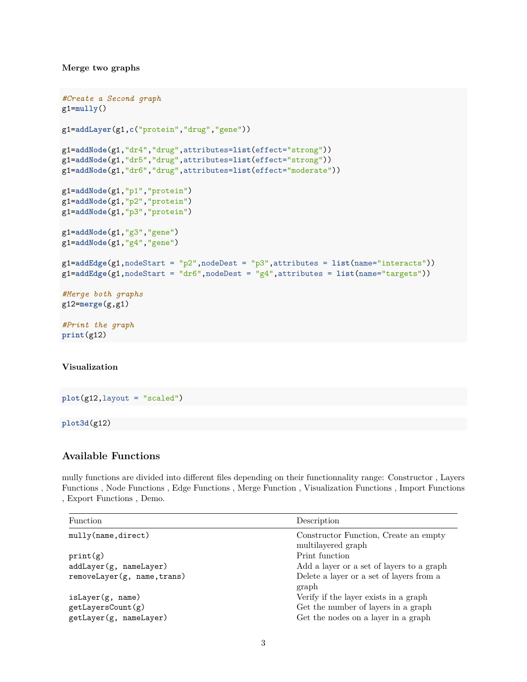#### **Merge two graphs**

```
#Create a Second graph
g1=mully()
g1=addLayer(g1,c("protein","drug","gene"))
g1=addNode(g1,"dr4","drug",attributes=list(effect="strong"))
g1=addNode(g1,"dr5","drug",attributes=list(effect="strong"))
g1=addNode(g1,"dr6","drug",attributes=list(effect="moderate"))
g1=addNode(g1,"p1","protein")
g1=addNode(g1,"p2","protein")
g1=addNode(g1,"p3","protein")
g1=addNode(g1,"g3","gene")
g1=addNode(g1,"g4","gene")
g1=addEdge(g1,nodeStart = "p2",nodeDest = "p3",attributes = list(name="interacts"))
g1=addEdge(g1,nodeStart = "dr6",nodeDest = "g4",attributes = list(name="targets"))
#Merge both graphs
g12=merge(g,g1)
#Print the graph
print(g12)
```
## **Visualization**

**plot**(g12,layout = "scaled")

#### **plot3d**(g12)

# **Available Functions**

mully functions are divided into different files depending on their functionnality range: [Constructor](https://github.com/frankkramer-lab/mully/blob/master/R/mully_constructor.R) , [Layers](https://github.com/frankkramer-lab/mully/blob/master/R/mully_layer.R) [Functions](https://github.com/frankkramer-lab/mully/blob/master/R/mully_layer.R) , [Node Functions](https://github.com/frankkramer-lab/mully/blob/master/R/mully_node.R) , [Edge Functions](https://github.com/frankkramer-lab/mully/blob/master/R/mully_edge.R) , [Merge Function](https://github.com/frankkramer-lab/mully/blob/master/R/mully_merge.R) , [Visualization Functions](https://github.com/frankkramer-lab/mully/blob/master/R/mully_visualization.R) , [Import Functions](https://github.com/frankkramer-lab/mully/blob/master/R/mully_import.R) , [Export Functions](https://github.com/frankkramer-lab/mully/blob/master/R/mully_export.R) , [Demo.](https://github.com/frankkramer-lab/mully/blob/master/R/mully_demo.R)

| <b>Function</b>             | Description                                                 |
|-----------------------------|-------------------------------------------------------------|
| mully(name,direct)          | Constructor Function, Create an empty<br>multilayered graph |
| print(g)                    | Print function                                              |
| addLayer(g, nameLayer)      | Add a layer or a set of layers to a graph                   |
| removeLayer(g, name, trans) | Delete a layer or a set of layers from a<br>graph           |
| isLayer(g, name)            | Verify if the layer exists in a graph                       |
| getLayersCount(g)           | Get the number of layers in a graph                         |
| getLayer(g, nameLayer)      | Get the nodes on a layer in a graph                         |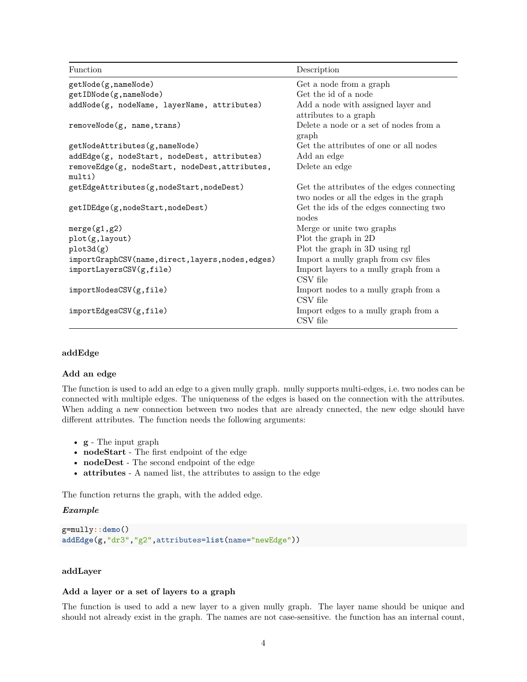Function Description getNode(g,nameNode) Get a node from a graph getIDNode(g,nameNode) Get the id of a node addNode(g, nodeName, layerName, attributes) Add a node with assigned layer and attributes to a graph removeNode(g, name,trans) Delete a node or a set of nodes from a graph getNodeAttributes(g,nameNode) Get the attributes of one or all nodes addEdge(g, nodeStart, nodeDest, attributes) Add an edge removeEdge(g, nodeStart, nodeDest,attributes, multi) Delete an edge getEdgeAttributes(g,nodeStart,nodeDest) Get the attributes of the edges connecting two nodes or all the edges in the graph getIDEdge(g,nodeStart,nodeDest) Get the ids of the edges connecting two nodes merge(g1,g2) Merge or unite two graphs plot(g,layout) Plot the graph in 2D plot3d(g) Plot the graph in 3D using rgl importGraphCSV(name,direct,layers,nodes,edges) Import a mully graph from csv files importLayersCSV(g,file) Import layers to a mully graph from a CSV file importNodesCSV(g,file) Import nodes to a mully graph from a CSV file importEdgesCSV(g,file) Import edges to a mully graph from a CSV file

## **addEdge**

## **Add an edge**

The function is used to add an edge to a given mully graph. mully supports multi-edges, i.e. two nodes can be connected with multiple edges. The uniqueness of the edges is based on the connection with the attributes. When adding a new connection between two nodes that are already cnnected, the new edge should have different attributes. The function needs the following arguments:

- **g** The input graph
- **nodeStart** The first endpoint of the edge
- **nodeDest** The second endpoint of the edge
- **attributes** A named list, the attributes to assign to the edge

The function returns the graph, with the added edge.

#### *Example*

```
g=mully::demo()
addEdge(g,"dr3","g2",attributes=list(name="newEdge"))
```
#### **addLayer**

#### **Add a layer or a set of layers to a graph**

The function is used to add a new layer to a given mully graph. The layer name should be unique and should not already exist in the graph. The names are not case-sensitive. the function has an internal count,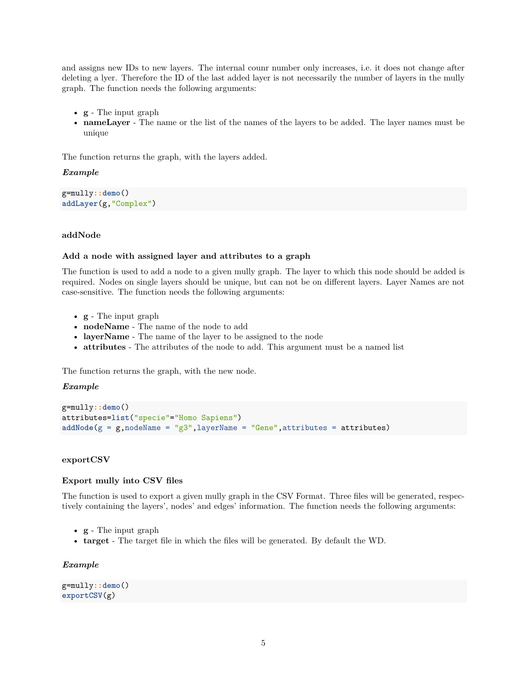and assigns new IDs to new layers. The internal counr number only increases, i.e. it does not change after deleting a lyer. Therefore the ID of the last added layer is not necessarily the number of layers in the mully graph. The function needs the following arguments:

- **g** The input graph
- **nameLayer** The name or the list of the names of the layers to be added. The layer names must be unique

The function returns the graph, with the layers added.

## *Example*

g=mully**::demo**() **addLayer**(g,"Complex")

## **addNode**

#### **Add a node with assigned layer and attributes to a graph**

The function is used to add a node to a given mully graph. The layer to which this node should be added is required. Nodes on single layers should be unique, but can not be on different layers. Layer Names are not case-sensitive. The function needs the following arguments:

- **g** The input graph
- **nodeName** The name of the node to add
- **layerName** The name of the layer to be assigned to the node
- **attributes** The attributes of the node to add. This argument must be a named list

The function returns the graph, with the new node.

#### *Example*

```
g=mully::demo()
attributes=list("specie"="Homo Sapiens")
addNode(g = g, nodeName = "g3", layerName = "Gene", attributes = attributes)
```
# **exportCSV**

#### **Export mully into CSV files**

The function is used to export a given mully graph in the CSV Format. Three files will be generated, respectively containing the layers', nodes' and edges' information. The function needs the following arguments:

- **g** The input graph
- **target** The target file in which the files will be generated. By default the WD.

#### *Example*

g=mully**::demo**() **exportCSV**(g)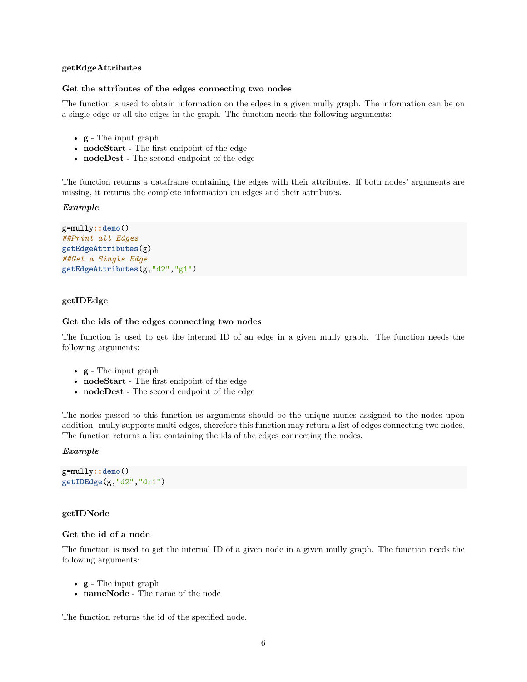#### **getEdgeAttributes**

#### **Get the attributes of the edges connecting two nodes**

The function is used to obtain information on the edges in a given mully graph. The information can be on a single edge or all the edges in the graph. The function needs the following arguments:

- **g** The input graph
- **nodeStart** The first endpoint of the edge
- **nodeDest** The second endpoint of the edge

The function returns a dataframe containing the edges with their attributes. If both nodes' arguments are missing, it returns the complete information on edges and their attributes.

#### *Example*

```
g=mully::demo()
##Print all Edges
getEdgeAttributes(g)
##Get a Single Edge
getEdgeAttributes(g,"d2","g1")
```
## **getIDEdge**

#### **Get the ids of the edges connecting two nodes**

The function is used to get the internal ID of an edge in a given mully graph. The function needs the following arguments:

- **g** The input graph
- **nodeStart** The first endpoint of the edge
- **nodeDest** The second endpoint of the edge

The nodes passed to this function as arguments should be the unique names assigned to the nodes upon addition. mully supports multi-edges, therefore this function may return a list of edges connecting two nodes. The function returns a list containing the ids of the edges connecting the nodes.

#### *Example*

```
g=mully::demo()
getIDEdge(g,"d2","dr1")
```
#### **getIDNode**

#### **Get the id of a node**

The function is used to get the internal ID of a given node in a given mully graph. The function needs the following arguments:

- **g** The input graph
- **nameNode** The name of the node

The function returns the id of the specified node.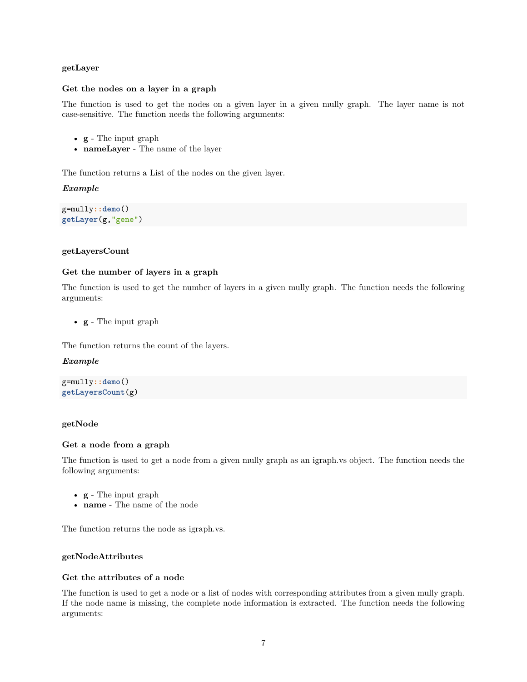# **getLayer**

## **Get the nodes on a layer in a graph**

The function is used to get the nodes on a given layer in a given mully graph. The layer name is not case-sensitive. The function needs the following arguments:

- **g** The input graph
- **nameLayer** The name of the layer

The function returns a List of the nodes on the given layer.

# *Example*

g=mully**::demo**() **getLayer**(g,"gene")

# **getLayersCount**

# **Get the number of layers in a graph**

The function is used to get the number of layers in a given mully graph. The function needs the following arguments:

• **g** - The input graph

The function returns the count of the layers.

## *Example*

g=mully**::demo**() **getLayersCount**(g)

## **getNode**

## **Get a node from a graph**

The function is used to get a node from a given mully graph as an igraph.vs object. The function needs the following arguments:

- **g** The input graph
- **name** The name of the node

The function returns the node as igraph.vs.

## **getNodeAttributes**

# **Get the attributes of a node**

The function is used to get a node or a list of nodes with corresponding attributes from a given mully graph. If the node name is missing, the complete node information is extracted. The function needs the following arguments: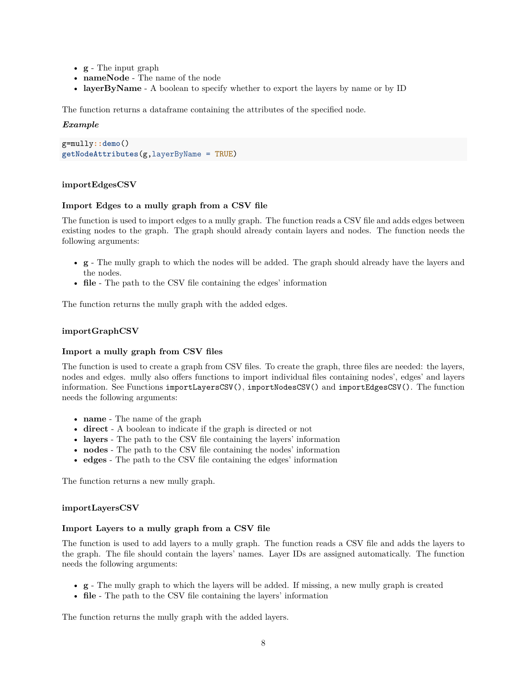- **g** The input graph
- **nameNode** The name of the node
- **layerByName** A boolean to specify whether to export the layers by name or by ID

The function returns a dataframe containing the attributes of the specified node.

# *Example*

```
g=mully::demo()
getNodeAttributes(g,layerByName = TRUE)
```
# **importEdgesCSV**

## **Import Edges to a mully graph from a CSV file**

The function is used to import edges to a mully graph. The function reads a CSV file and adds edges between existing nodes to the graph. The graph should already contain layers and nodes. The function needs the following arguments:

- **g** The mully graph to which the nodes will be added. The graph should already have the layers and the nodes.
- **file** The path to the CSV file containing the edges' information

The function returns the mully graph with the added edges.

# **importGraphCSV**

## **Import a mully graph from CSV files**

The function is used to create a graph from CSV files. To create the graph, three files are needed: the layers, nodes and edges. mully also offers functions to import individual files containing nodes', edges' and layers information. See Functions importLayersCSV(), importNodesCSV() and importEdgesCSV(). The function needs the following arguments:

- **name** The name of the graph
- **direct** A boolean to indicate if the graph is directed or not
- **layers** The path to the CSV file containing the layers' information
- **nodes** The path to the CSV file containing the nodes' information
- **edges** The path to the CSV file containing the edges' information

The function returns a new mully graph.

## **importLayersCSV**

## **Import Layers to a mully graph from a CSV file**

The function is used to add layers to a mully graph. The function reads a CSV file and adds the layers to the graph. The file should contain the layers' names. Layer IDs are assigned automatically. The function needs the following arguments:

- **g** The mully graph to which the layers will be added. If missing, a new mully graph is created
- **file** The path to the CSV file containing the layers' information

The function returns the mully graph with the added layers.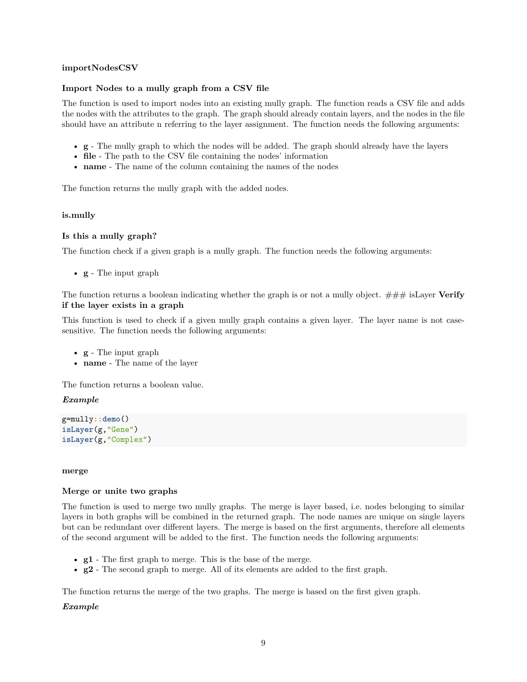## **importNodesCSV**

# **Import Nodes to a mully graph from a CSV file**

The function is used to import nodes into an existing mully graph. The function reads a CSV file and adds the nodes with the attributes to the graph. The graph should already contain layers, and the nodes in the file should have an attribute n referring to the layer assignment. The function needs the following arguments:

- **g** The mully graph to which the nodes will be added. The graph should already have the layers
- **file** The path to the CSV file containing the nodes' information
- **name** The name of the column containing the names of the nodes

The function returns the mully graph with the added nodes.

## **is.mully**

# **Is this a mully graph?**

The function check if a given graph is a mully graph. The function needs the following arguments:

• **g** - The input graph

The function returns a boolean indicating whether the graph is or not a mully object. ### isLayer **Verify if the layer exists in a graph**

This function is used to check if a given mully graph contains a given layer. The layer name is not casesensitive. The function needs the following arguments:

- **g** The input graph
- **name** The name of the layer

The function returns a boolean value.

## *Example*

g=mully**::demo**() **isLayer**(g,"Gene") **isLayer**(g,"Complex")

#### **merge**

## **Merge or unite two graphs**

The function is used to merge two mully graphs. The merge is layer based, i.e. nodes belonging to similar layers in both graphs will be combined in the returned graph. The node names are unique on single layers but can be redundant over different layers. The merge is based on the first arguments, therefore all elements of the second argument will be added to the first. The function needs the following arguments:

- **g1** The first graph to merge. This is the base of the merge.
- **g2** The second graph to merge. All of its elements are added to the first graph.

The function returns the merge of the two graphs. The merge is based on the first given graph.

## *Example*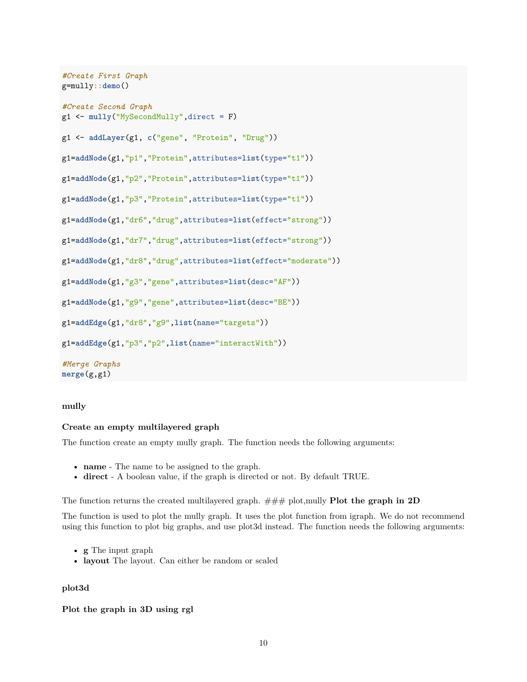```
#Create First Graph
g=mully::demo()
#Create Second Graph
g1 <- mully("MySecondMully",direct = F)
g1 <- addLayer(g1, c("gene", "Protein", "Drug"))
g1=addNode(g1,"p1","Protein",attributes=list(type="t1"))
g1=addNode(g1,"p2","Protein",attributes=list(type="t1"))
g1=addNode(g1,"p3","Protein",attributes=list(type="t1"))
g1=addNode(g1,"dr6","drug",attributes=list(effect="strong"))
g1=addNode(g1,"dr7","drug",attributes=list(effect="strong"))
g1=addNode(g1,"dr8","drug",attributes=list(effect="moderate"))
g1=addNode(g1,"g3","gene",attributes=list(desc="AF"))
g1=addNode(g1,"g9","gene",attributes=list(desc="BE"))
g1=addEdge(g1,"dr8","g9",list(name="targets"))
g1=addEdge(g1,"p3","p2",list(name="interactWith"))
#Merge Graphs
merge(g,g1)
```
## **mully**

## **Create an empty multilayered graph**

The function create an empty mully graph. The function needs the following arguments:

- **name** The name to be assigned to the graph.
- **direct** A boolean value, if the graph is directed or not. By default TRUE.

The function returns the created multilayered graph. ### plot,mully **Plot the graph in 2D**

The function is used to plot the mully graph. It uses the plot function from igraph. We do not recommend using this function to plot big graphs, and use plot3d instead. The function needs the following arguments:

- **g** The input graph
- **layout** The layout. Can either be random or scaled

# **plot3d**

**Plot the graph in 3D using rgl**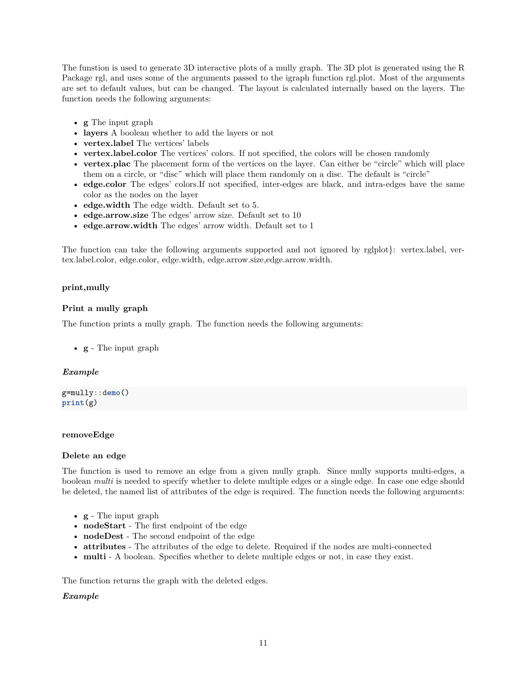The funstion is used to generate 3D interactive plots of a mully graph. The 3D plot is generated using the R Package rgl, and uses some of the arguments passed to the igraph function rgl.plot. Most of the arguments are set to default values, but can be changed. The layout is calculated internally based on the layers. The function needs the following arguments:

- **g** The input graph
- **layers** A boolean whether to add the layers or not
- **vertex.label** The vertices' labels
- **vertex.label.color** The vertices' colors. If not specified, the colors will be chosen randomly
- **vertex.plac** The placement form of the vertices on the layer. Can either be "circle" which will place them on a circle, or "disc" which will place them randomly on a disc. The default is "circle"
- **edge.color** The edges' colors.If not specified, inter-edges are black, and intra-edges have the same color as the nodes on the layer
- **edge.width** The edge width. Default set to 5.
- **edge.arrow.size** The edges' arrow size. Default set to 10
- **edge.arrow.width** The edges' arrow width. Default set to 1

The function can take the following arguments supported and not ignored by rglplot}: vertex.label, vertex.label.color, edge.color, edge.width, edge.arrow.size,edge.arrow.width.

# **print,mully**

# **Print a mully graph**

The function prints a mully graph. The function needs the following arguments:

• **g** - The input graph

# *Example*

```
g=mully::demo()
print(g)
```
## **removeEdge**

## **Delete an edge**

The function is used to remove an edge from a given mully graph. Since mully supports multi-edges, a boolean *multi* is needed to specify whether to delete multiple edges or a single edge. In case one edge should be deleted, the named list of attributes of the edge is required. The function needs the following arguments:

- **g** The input graph
- **nodeStart** The first endpoint of the edge
- **nodeDest** The second endpoint of the edge
- **attributes** The attributes of the edge to delete. Required if the nodes are multi-connected
- **multi** A boolean. Specifies whether to delete multiple edges or not, in case they exist.

The function returns the graph with the deleted edges.

## *Example*